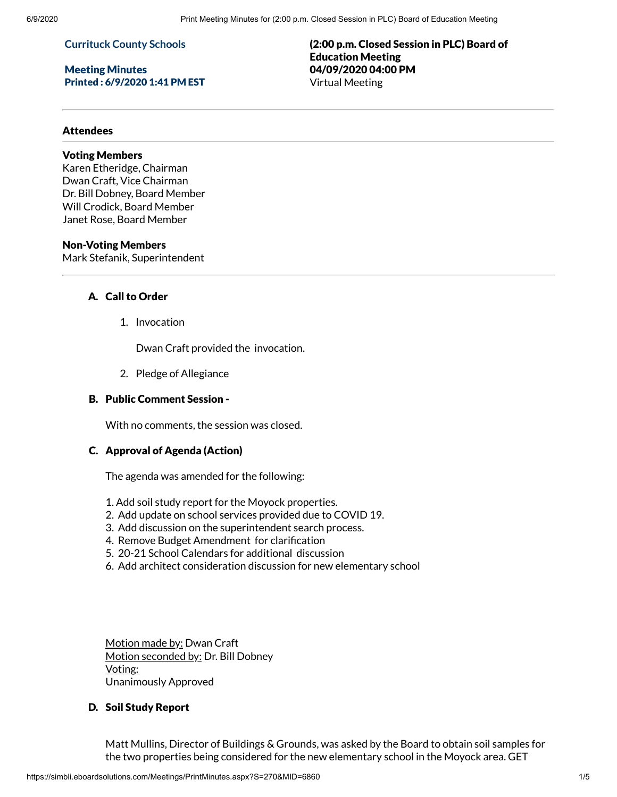## **Currituck County Schools**

## Meeting Minutes Printed : 6/9/2020 1:41 PM EST

(2:00 p.m. Closed Session in PLC) Board of Education Meeting 04/09/2020 04:00 PM Virtual Meeting

## Attendees

# Voting Members

Karen Etheridge, Chairman Dwan Craft, Vice Chairman Dr. Bill Dobney, Board Member Will Crodick, Board Member Janet Rose, Board Member

# Non-Voting Members

Mark Stefanik, Superintendent

# A. Call to Order

1. Invocation

Dwan Craft provided the invocation.

2. Pledge of Allegiance

## B. Public Comment Session -

With no comments, the session was closed.

#### C. Approval of Agenda (Action)

The agenda was amended for the following:

- 1. Add soil study report for the Moyock properties.
- 2. Add update on school services provided due to COVID 19.
- 3. Add discussion on the superintendent search process.
- 4. Remove Budget Amendment for clarification
- 5. 20-21 School Calendars for additional discussion
- 6. Add architect consideration discussion for new elementary school

Motion made by: Dwan Craft Motion seconded by: Dr. Bill Dobney Voting: Unanimously Approved

# D. Soil Study Report

Matt Mullins, Director of Buildings & Grounds, was asked by the Board to obtain soil samples for the two properties being considered for the new elementary school in the Moyock area. GET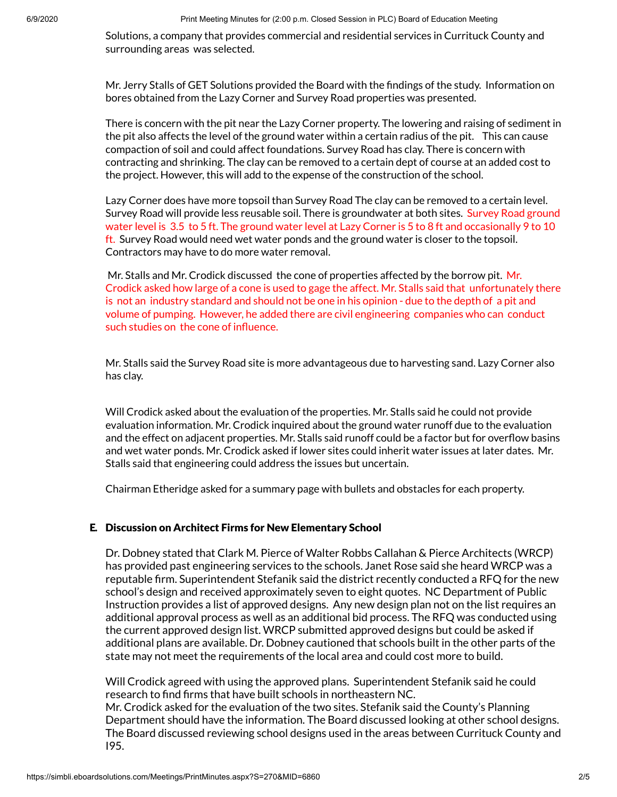6/9/2020 Print Meeting Minutes for (2:00 p.m. Closed Session in PLC) Board of Education Meeting

Solutions, a company that provides commercial and residential services in Currituck County and surrounding areas was selected.

Mr. Jerry Stalls of GET Solutions provided the Board with the findings of the study. Information on bores obtained from the Lazy Corner and Survey Road properties was presented.

There is concern with the pit near the Lazy Corner property. The lowering and raising of sediment in the pit also affects the level of the ground water within a certain radius of the pit. This can cause compaction of soil and could affect foundations. Survey Road has clay. There is concern with contracting and shrinking. The clay can be removed to a certain dept of course at an added cost to the project. However, this will add to the expense of the construction of the school.

Lazy Corner does have more topsoil than Survey Road The clay can be removed to a certain level. Survey Road will provide less reusable soil. There is groundwater at both sites. Survey Road ground water level is 3.5 to 5 ft. The ground water level at Lazy Corner is 5 to 8 ft and occasionally 9 to 10 ft. Survey Road would need wet water ponds and the ground water is closer to the topsoil. Contractors may have to do more water removal.

Mr. Stalls and Mr. Crodick discussed the cone of properties affected by the borrow pit. Mr. Crodick asked how large of a cone is used to gage the affect. Mr. Stalls said that unfortunately there is not an industry standard and should not be one in his opinion - due to the depth of a pit and volume of pumping. However, he added there are civil engineering companies who can conduct such studies on the cone of influence.

Mr. Stalls said the Survey Road site is more advantageous due to harvesting sand. Lazy Corner also has clay.

Will Crodick asked about the evaluation of the properties. Mr. Stalls said he could not provide evaluation information. Mr. Crodick inquired about the ground water runoff due to the evaluation and the effect on adjacent properties. Mr. Stalls said runoff could be a factor but for overflow basins and wet water ponds. Mr. Crodick asked if lower sites could inherit water issues at later dates. Mr. Stalls said that engineering could address the issues but uncertain.

Chairman Etheridge asked for a summary page with bullets and obstacles for each property.

# E. Discussion on Architect Firms for New Elementary School

Dr. Dobney stated that Clark M. Pierce of Walter Robbs Callahan & Pierce Architects (WRCP) has provided past engineering services to the schools. Janet Rose said she heard WRCP was a reputable firm. Superintendent Stefanik said the district recently conducted a RFQ for the new school's design and received approximately seven to eight quotes. NC Department of Public Instruction provides a list of approved designs. Any new design plan not on the list requires an additional approval process as well as an additional bid process. The RFQ was conducted using the current approved design list. WRCP submitted approved designs but could be asked if additional plans are available. Dr. Dobney cautioned that schools built in the other parts of the state may not meet the requirements of the local area and could cost more to build.

Will Crodick agreed with using the approved plans. Superintendent Stefanik said he could research to find firms that have built schools in northeastern NC. Mr. Crodick asked for the evaluation of the two sites. Stefanik said the County's Planning Department should have the information. The Board discussed looking at other school designs. The Board discussed reviewing school designs used in the areas between Currituck County and I95.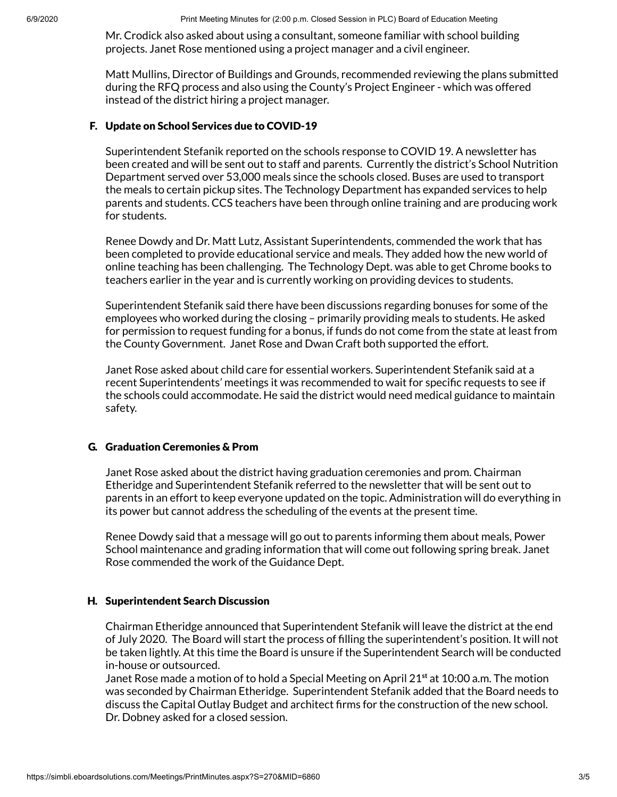6/9/2020 Print Meeting Minutes for (2:00 p.m. Closed Session in PLC) Board of Education Meeting

Mr. Crodick also asked about using a consultant, someone familiar with school building projects. Janet Rose mentioned using a project manager and a civil engineer.

Matt Mullins, Director of Buildings and Grounds, recommended reviewing the plans submitted during the RFQ process and also using the County's Project Engineer - which was offered instead of the district hiring a project manager.

# F. Update on School Services due to COVID-19

Superintendent Stefanik reported on the schools response to COVID 19. A newsletter has been created and will be sent out to staff and parents. Currently the district's School Nutrition Department served over 53,000 meals since the schools closed. Buses are used to transport the meals to certain pickup sites. The Technology Department has expanded services to help parents and students. CCS teachers have been through online training and are producing work for students.

Renee Dowdy and Dr. Matt Lutz, Assistant Superintendents, commended the work that has been completed to provide educational service and meals. They added how the new world of online teaching has been challenging. The Technology Dept. was able to get Chrome books to teachers earlier in the year and is currently working on providing devices to students.

Superintendent Stefanik said there have been discussions regarding bonuses for some of the employees who worked during the closing – primarily providing meals to students. He asked for permission to request funding for a bonus, if funds do not come from the state at least from the County Government. Janet Rose and Dwan Craft both supported the effort.

Janet Rose asked about child care for essential workers. Superintendent Stefanik said at a recent Superintendents' meetings it was recommended to wait for specific requests to see if the schools could accommodate. He said the district would need medical guidance to maintain safety.

# G. Graduation Ceremonies & Prom

Janet Rose asked about the district having graduation ceremonies and prom. Chairman Etheridge and Superintendent Stefanik referred to the newsletter that will be sent out to parents in an effort to keep everyone updated on the topic. Administration will do everything in its power but cannot address the scheduling of the events at the present time.

Renee Dowdy said that a message will go out to parents informing them about meals, Power School maintenance and grading information that will come out following spring break. Janet Rose commended the work of the Guidance Dept.

# H. Superintendent Search Discussion

Chairman Etheridge announced that Superintendent Stefanik will leave the district at the end of July 2020. The Board will start the process of lling the superintendent's position. It will not be taken lightly. At this time the Board is unsure if the Superintendent Search will be conducted in-house or outsourced.

Janet Rose made a motion of to hold a Special Meeting on April 21 **st** at 10:00 a.m. The motion was seconded by Chairman Etheridge. Superintendent Stefanik added that the Board needs to discuss the Capital Outlay Budget and architect firms for the construction of the new school. Dr. Dobney asked for a closed session.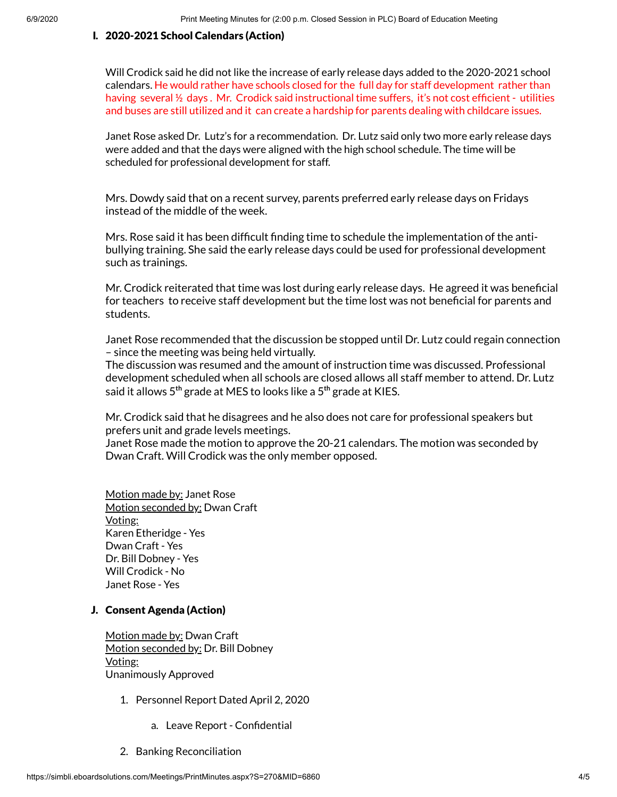## I. 2020-2021 School Calendars (Action)

Will Crodick said he did not like the increase of early release days added to the 2020-2021 school calendars. He would rather have schools closed for the full day for staff development rather than having several 1/2 days. Mr. Crodick said instructional time suffers, it's not cost efficient - utilities and buses are still utilized and it can create a hardship for parents dealing with childcare issues.

Janet Rose asked Dr. Lutz's for a recommendation. Dr. Lutz said only two more early release days were added and that the days were aligned with the high school schedule. The time will be scheduled for professional development for staff.

Mrs. Dowdy said that on a recent survey, parents preferred early release days on Fridays instead of the middle of the week.

Mrs. Rose said it has been difficult finding time to schedule the implementation of the antibullying training. She said the early release days could be used for professional development such as trainings.

Mr. Crodick reiterated that time was lost during early release days. He agreed it was beneficial for teachers to receive staff development but the time lost was not beneficial for parents and students.

Janet Rose recommended that the discussion be stopped until Dr. Lutz could regain connection – since the meeting was being held virtually.

The discussion was resumed and the amount of instruction time was discussed. Professional development scheduled when all schools are closed allows all staff member to attend. Dr. Lutz said it allows 5 **th** grade at MES to looks like a 5 **th** grade at KIES.

Mr. Crodick said that he disagrees and he also does not care for professional speakers but prefers unit and grade levels meetings.

Janet Rose made the motion to approve the 20-21 calendars. The motion was seconded by Dwan Craft. Will Crodick was the only member opposed.

Motion made by: Janet Rose Motion seconded by: Dwan Craft Voting: Karen Etheridge - Yes Dwan Craft - Yes Dr. Bill Dobney - Yes Will Crodick - No Janet Rose - Yes

## J. Consent Agenda (Action)

Motion made by: Dwan Craft Motion seconded by: Dr. Bill Dobney Voting: Unanimously Approved

- 1. Personnel Report Dated April 2, 2020
	- a. Leave Report Confidential
- 2. Banking Reconciliation